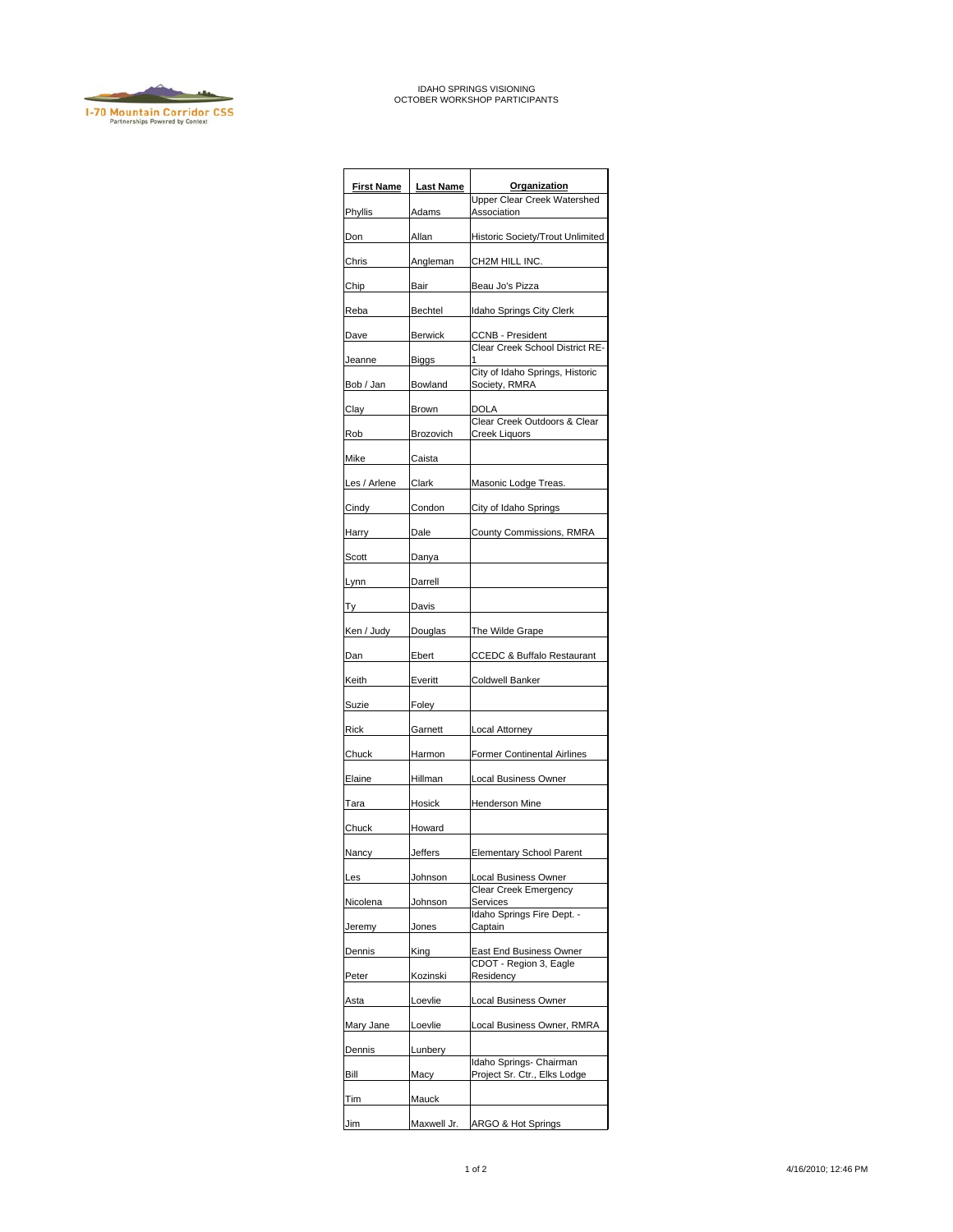

## IDAHO SPRINGS VISIONING OCTOBER WORKSHOP PARTICIPANTS

| <b>First Name</b> | <b>Last Name</b> | Organization<br><b>Upper Clear Creek Watershed</b>      |
|-------------------|------------------|---------------------------------------------------------|
| Phyllis           | Adams            | Association                                             |
| Don               | Allan            | Historic Society/Trout Unlimited                        |
| Chris             | Angleman         | CH2M HILL INC.                                          |
| Chip              | Bair             | Beau Jo's Pizza                                         |
| Reba              | Bechtel          | Idaho Springs City Clerk                                |
| Dave              | <b>Berwick</b>   | <b>CCNB - President</b>                                 |
| Jeanne            | <b>Biggs</b>     | Clear Creek School District RE-                         |
| Bob / Jan         | Bowland          | City of Idaho Springs, Historic<br>Society, RMRA        |
| Clay              | Brown            | DOLA                                                    |
| Rob               | Brozovich        | Clear Creek Outdoors & Clear<br>Creek Liquors           |
| Mike              | Caista           |                                                         |
| Les / Arlene      | Clark            | Masonic Lodge Treas.                                    |
| Cindy             | Condon           | City of Idaho Springs                                   |
| Harry             | Dale             | County Commissions, RMRA                                |
| Scott             | Danya            |                                                         |
| Lynn              | Darrell          |                                                         |
| Ty                | Davis            |                                                         |
| Ken / Judy        | Douglas          | The Wilde Grape                                         |
| Dan               | Ebert            | <b>CCEDC &amp; Buffalo Restaurant</b>                   |
| Keith             | Everitt          | <b>Coldwell Banker</b>                                  |
| Suzie             | Foley            |                                                         |
| Rick              | Garnett          | Local Attorney                                          |
| Chuck             | Harmon           | <b>Former Continental Airlines</b>                      |
| Elaine            | Hillman          | Local Business Owner                                    |
| Tara              | Hosick           | <b>Henderson Mine</b>                                   |
| Chuck             | Howard           |                                                         |
| Nancy             | Jeffers          | <b>Elementary School Parent</b>                         |
| Les               | Johnson          | Local Business Owner                                    |
| Nicolena          | Johnson          | Clear Creek Emergency<br>Services                       |
| Jeremy            | Jones            | Idaho Springs Fire Dept. -<br>Captain                   |
| Dennis            | King             | East End Business Owner                                 |
| Peter             | Kozinski         | CDOT - Region 3, Eagle<br>Residency                     |
| Asta              | Loevlie          | Local Business Owner                                    |
| Mary Jane         | Loevlie          | Local Business Owner, RMRA                              |
| Dennis            | Lunbery          |                                                         |
| Bill              | Масу             | Idaho Springs- Chairman<br>Project Sr. Ctr., Elks Lodge |
| Tim               | Mauck            |                                                         |
| Jim               | Maxwell Jr.      | ARGO & Hot Springs                                      |